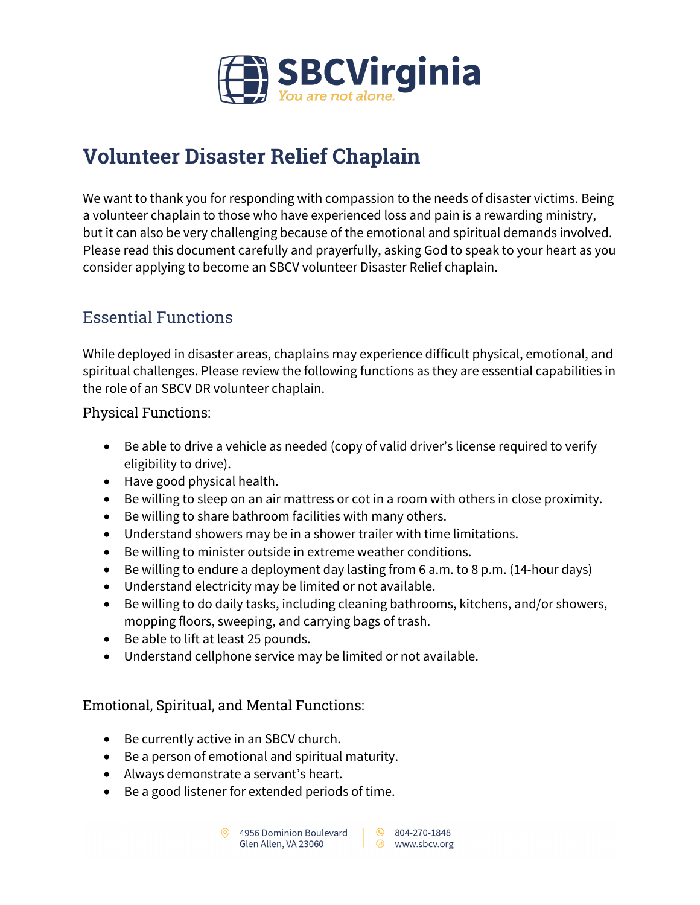

# **Volunteer Disaster Relief Chaplain**

We want to thank you for responding with compassion to the needs of disaster victims. Being a volunteer chaplain to those who have experienced loss and pain is a rewarding ministry, but it can also be very challenging because of the emotional and spiritual demands involved. Please read this document carefully and prayerfully, asking God to speak to your heart as you consider applying to become an SBCV volunteer Disaster Relief chaplain.

### Essential Functions

While deployed in disaster areas, chaplains may experience difficult physical, emotional, and spiritual challenges. Please review the following functions as they are essential capabilities in the role of an SBCV DR volunteer chaplain.

Physical Functions:

- Be able to drive a vehicle as needed (copy of valid driver's license required to verify eligibility to drive).
- Have good physical health.
- Be willing to sleep on an air mattress or cot in a room with others in close proximity.
- Be willing to share bathroom facilities with many others.
- Understand showers may be in a shower trailer with time limitations.
- Be willing to minister outside in extreme weather conditions.
- Be willing to endure a deployment day lasting from 6 a.m. to 8 p.m. (14-hour days)
- Understand electricity may be limited or not available.
- Be willing to do daily tasks, including cleaning bathrooms, kitchens, and/or showers, mopping floors, sweeping, and carrying bags of trash.
- Be able to lift at least 25 pounds.
- Understand cellphone service may be limited or not available.

#### Emotional, Spiritual, and Mental Functions:

- Be currently active in an SBCV church.
- Be a person of emotional and spiritual maturity.
- Always demonstrate a servant's heart.
- Be a good listener for extended periods of time.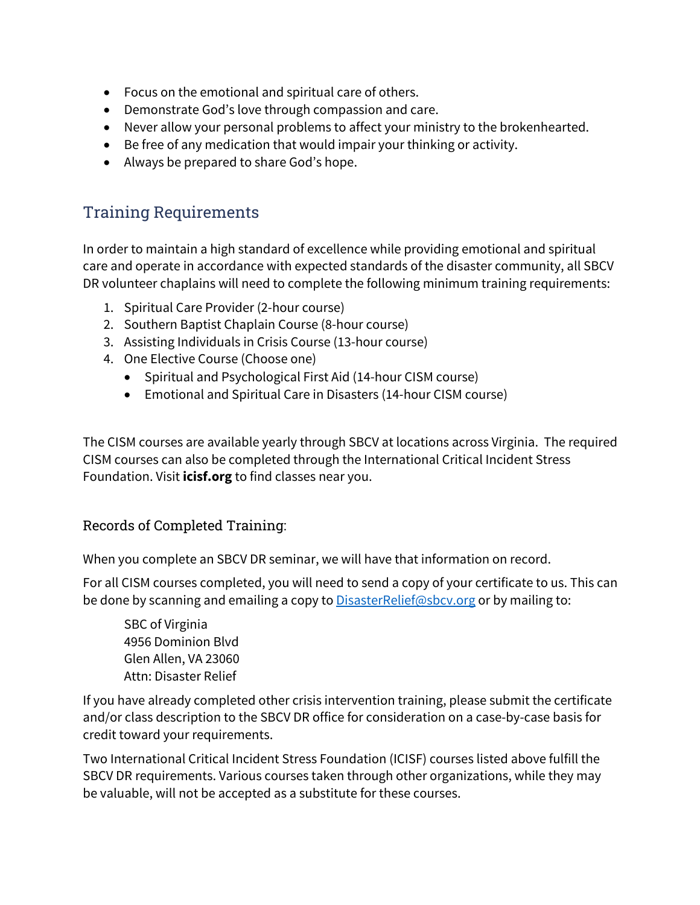- Focus on the emotional and spiritual care of others.
- Demonstrate God's love through compassion and care.
- Never allow your personal problems to affect your ministry to the brokenhearted.
- Be free of any medication that would impair your thinking or activity.
- Always be prepared to share God's hope.

## Training Requirements

In order to maintain a high standard of excellence while providing emotional and spiritual care and operate in accordance with expected standards of the disaster community, all SBCV DR volunteer chaplains will need to complete the following minimum training requirements:

- 1. Spiritual Care Provider (2-hour course)
- 2. Southern Baptist Chaplain Course (8-hour course)
- 3. Assisting Individuals in Crisis Course (13-hour course)
- 4. One Elective Course (Choose one)
	- Spiritual and Psychological First Aid (14-hour CISM course)
	- Emotional and Spiritual Care in Disasters (14-hour CISM course)

The CISM courses are available yearly through SBCV at locations across Virginia. The required CISM courses can also be completed through the International Critical Incident Stress Foundation. Visit **icisf.org** to find classes near you.

#### Records of Completed Training:

When you complete an SBCV DR seminar, we will have that information on record.

For all CISM courses completed, you will need to send a copy of your certificate to us. This can be done by scanning and emailing a copy to **DisasterRelief@sbcv.org** or by mailing to:

SBC of Virginia 4956 Dominion Blvd Glen Allen, VA 23060 Attn: Disaster Relief

If you have already completed other crisis intervention training, please submit the certificate and/or class description to the SBCV DR office for consideration on a case-by-case basis for credit toward your requirements.

Two International Critical Incident Stress Foundation (ICISF) courses listed above fulfill the SBCV DR requirements. Various courses taken through other organizations, while they may be valuable, will not be accepted as a substitute for these courses.